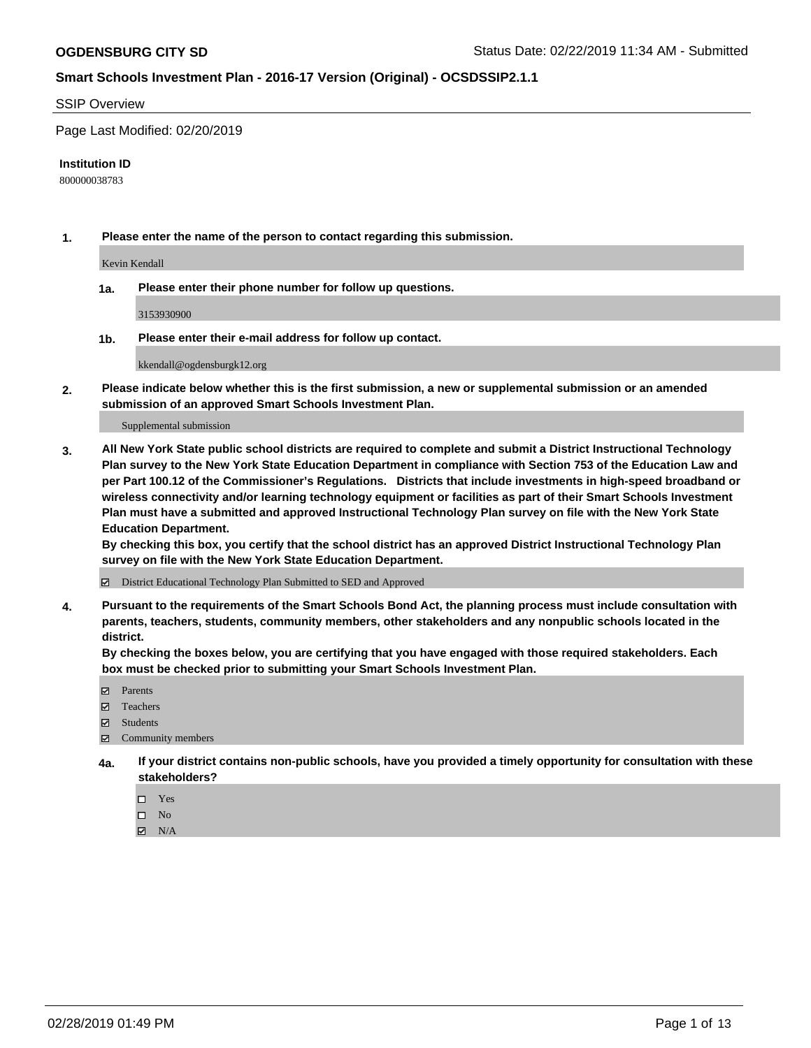#### SSIP Overview

Page Last Modified: 02/20/2019

#### **Institution ID**

800000038783

**1. Please enter the name of the person to contact regarding this submission.**

Kevin Kendall

**1a. Please enter their phone number for follow up questions.**

3153930900

**1b. Please enter their e-mail address for follow up contact.**

kkendall@ogdensburgk12.org

**2. Please indicate below whether this is the first submission, a new or supplemental submission or an amended submission of an approved Smart Schools Investment Plan.**

Supplemental submission

**3. All New York State public school districts are required to complete and submit a District Instructional Technology Plan survey to the New York State Education Department in compliance with Section 753 of the Education Law and per Part 100.12 of the Commissioner's Regulations. Districts that include investments in high-speed broadband or wireless connectivity and/or learning technology equipment or facilities as part of their Smart Schools Investment Plan must have a submitted and approved Instructional Technology Plan survey on file with the New York State Education Department.** 

**By checking this box, you certify that the school district has an approved District Instructional Technology Plan survey on file with the New York State Education Department.**

District Educational Technology Plan Submitted to SED and Approved

**4. Pursuant to the requirements of the Smart Schools Bond Act, the planning process must include consultation with parents, teachers, students, community members, other stakeholders and any nonpublic schools located in the district.** 

**By checking the boxes below, you are certifying that you have engaged with those required stakeholders. Each box must be checked prior to submitting your Smart Schools Investment Plan.**

- **□** Parents
- Teachers
- Students
- $\boxtimes$  Community members
- **4a. If your district contains non-public schools, have you provided a timely opportunity for consultation with these stakeholders?**
	- $\Box$  Yes
	- $\qquad \qquad$  No
	- $\blacksquare$  N/A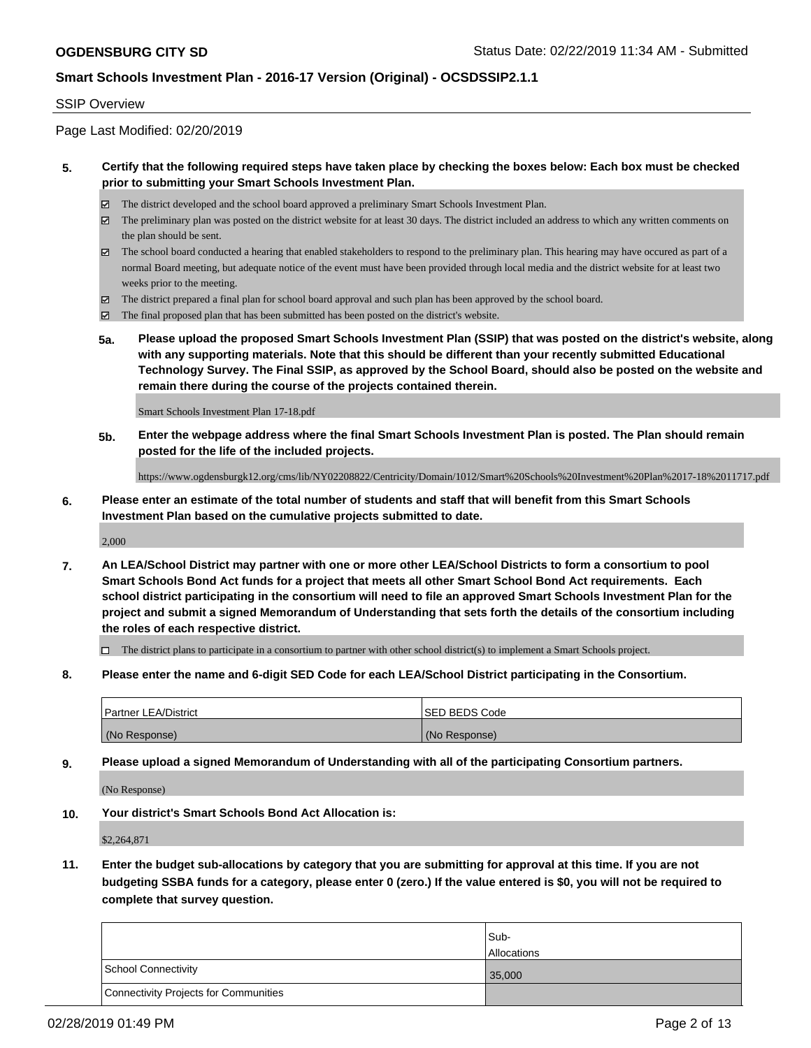#### SSIP Overview

Page Last Modified: 02/20/2019

#### **5. Certify that the following required steps have taken place by checking the boxes below: Each box must be checked prior to submitting your Smart Schools Investment Plan.**

- The district developed and the school board approved a preliminary Smart Schools Investment Plan.
- $\boxtimes$  The preliminary plan was posted on the district website for at least 30 days. The district included an address to which any written comments on the plan should be sent.
- $\boxtimes$  The school board conducted a hearing that enabled stakeholders to respond to the preliminary plan. This hearing may have occured as part of a normal Board meeting, but adequate notice of the event must have been provided through local media and the district website for at least two weeks prior to the meeting.
- The district prepared a final plan for school board approval and such plan has been approved by the school board.
- $\boxtimes$  The final proposed plan that has been submitted has been posted on the district's website.
- **5a. Please upload the proposed Smart Schools Investment Plan (SSIP) that was posted on the district's website, along with any supporting materials. Note that this should be different than your recently submitted Educational Technology Survey. The Final SSIP, as approved by the School Board, should also be posted on the website and remain there during the course of the projects contained therein.**

Smart Schools Investment Plan 17-18.pdf

**5b. Enter the webpage address where the final Smart Schools Investment Plan is posted. The Plan should remain posted for the life of the included projects.**

https://www.ogdensburgk12.org/cms/lib/NY02208822/Centricity/Domain/1012/Smart%20Schools%20Investment%20Plan%2017-18%2011717.pdf

**6. Please enter an estimate of the total number of students and staff that will benefit from this Smart Schools Investment Plan based on the cumulative projects submitted to date.**

2,000

**7. An LEA/School District may partner with one or more other LEA/School Districts to form a consortium to pool Smart Schools Bond Act funds for a project that meets all other Smart School Bond Act requirements. Each school district participating in the consortium will need to file an approved Smart Schools Investment Plan for the project and submit a signed Memorandum of Understanding that sets forth the details of the consortium including the roles of each respective district.**

 $\Box$  The district plans to participate in a consortium to partner with other school district(s) to implement a Smart Schools project.

**8. Please enter the name and 6-digit SED Code for each LEA/School District participating in the Consortium.**

| <b>Partner LEA/District</b> | ISED BEDS Code |
|-----------------------------|----------------|
| (No Response)               | (No Response)  |

**9. Please upload a signed Memorandum of Understanding with all of the participating Consortium partners.**

(No Response)

**10. Your district's Smart Schools Bond Act Allocation is:**

\$2,264,871

**11. Enter the budget sub-allocations by category that you are submitting for approval at this time. If you are not budgeting SSBA funds for a category, please enter 0 (zero.) If the value entered is \$0, you will not be required to complete that survey question.**

|                                              | Sub-               |
|----------------------------------------------|--------------------|
|                                              | <b>Allocations</b> |
| <b>School Connectivity</b>                   | 35,000             |
| <b>Connectivity Projects for Communities</b> |                    |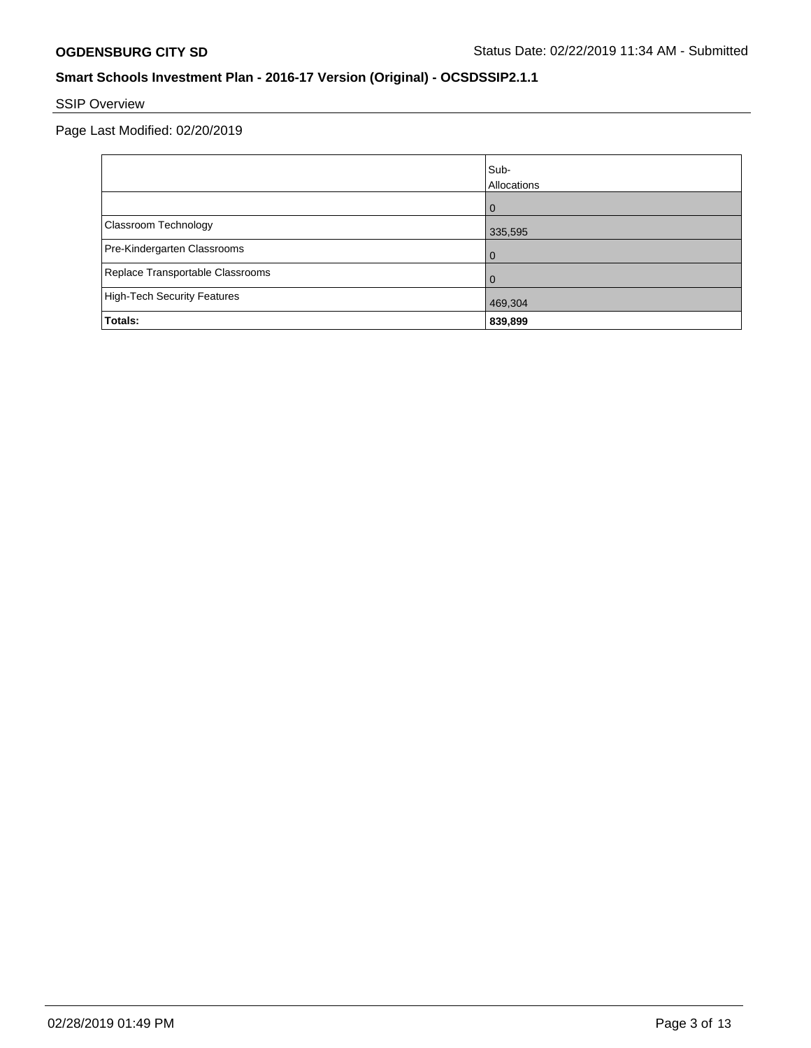# SSIP Overview

Page Last Modified: 02/20/2019

|                                    | Sub-<br>Allocations |
|------------------------------------|---------------------|
|                                    | $\Omega$            |
| Classroom Technology               | 335,595             |
| Pre-Kindergarten Classrooms        |                     |
| Replace Transportable Classrooms   |                     |
| <b>High-Tech Security Features</b> | 469,304             |
| Totals:                            | 839,899             |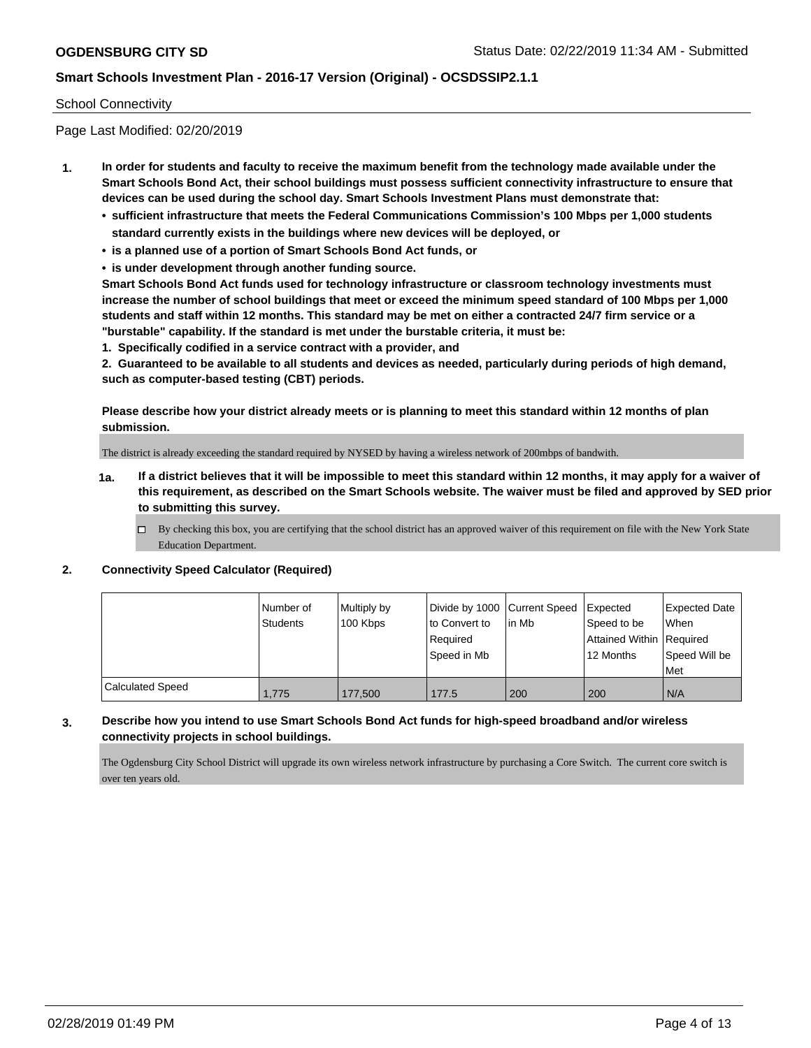#### School Connectivity

Page Last Modified: 02/20/2019

- **1. In order for students and faculty to receive the maximum benefit from the technology made available under the Smart Schools Bond Act, their school buildings must possess sufficient connectivity infrastructure to ensure that devices can be used during the school day. Smart Schools Investment Plans must demonstrate that:**
	- **• sufficient infrastructure that meets the Federal Communications Commission's 100 Mbps per 1,000 students standard currently exists in the buildings where new devices will be deployed, or**
	- **• is a planned use of a portion of Smart Schools Bond Act funds, or**
	- **• is under development through another funding source.**

**Smart Schools Bond Act funds used for technology infrastructure or classroom technology investments must increase the number of school buildings that meet or exceed the minimum speed standard of 100 Mbps per 1,000 students and staff within 12 months. This standard may be met on either a contracted 24/7 firm service or a "burstable" capability. If the standard is met under the burstable criteria, it must be:**

**1. Specifically codified in a service contract with a provider, and**

**2. Guaranteed to be available to all students and devices as needed, particularly during periods of high demand, such as computer-based testing (CBT) periods.**

**Please describe how your district already meets or is planning to meet this standard within 12 months of plan submission.**

The district is already exceeding the standard required by NYSED by having a wireless network of 200mbps of bandwith.

- **1a. If a district believes that it will be impossible to meet this standard within 12 months, it may apply for a waiver of this requirement, as described on the Smart Schools website. The waiver must be filed and approved by SED prior to submitting this survey.**
	- By checking this box, you are certifying that the school district has an approved waiver of this requirement on file with the New York State Education Department.

#### **2. Connectivity Speed Calculator (Required)**

|                  | Number of<br>Students | Multiply by<br>100 Kbps | Divide by 1000 Current Speed   Expected<br>to Convert to<br>Required<br>Speed in Mb | l in Mb | Speed to be<br>Attained Within   Required<br>12 Months | <b>Expected Date</b><br>When<br>Speed Will be<br><b>Met</b> |
|------------------|-----------------------|-------------------------|-------------------------------------------------------------------------------------|---------|--------------------------------------------------------|-------------------------------------------------------------|
| Calculated Speed | 1,775                 | 177,500                 | 177.5                                                                               | 200     | 200                                                    | I N/A                                                       |

#### **3. Describe how you intend to use Smart Schools Bond Act funds for high-speed broadband and/or wireless connectivity projects in school buildings.**

The Ogdensburg City School District will upgrade its own wireless network infrastructure by purchasing a Core Switch. The current core switch is over ten years old.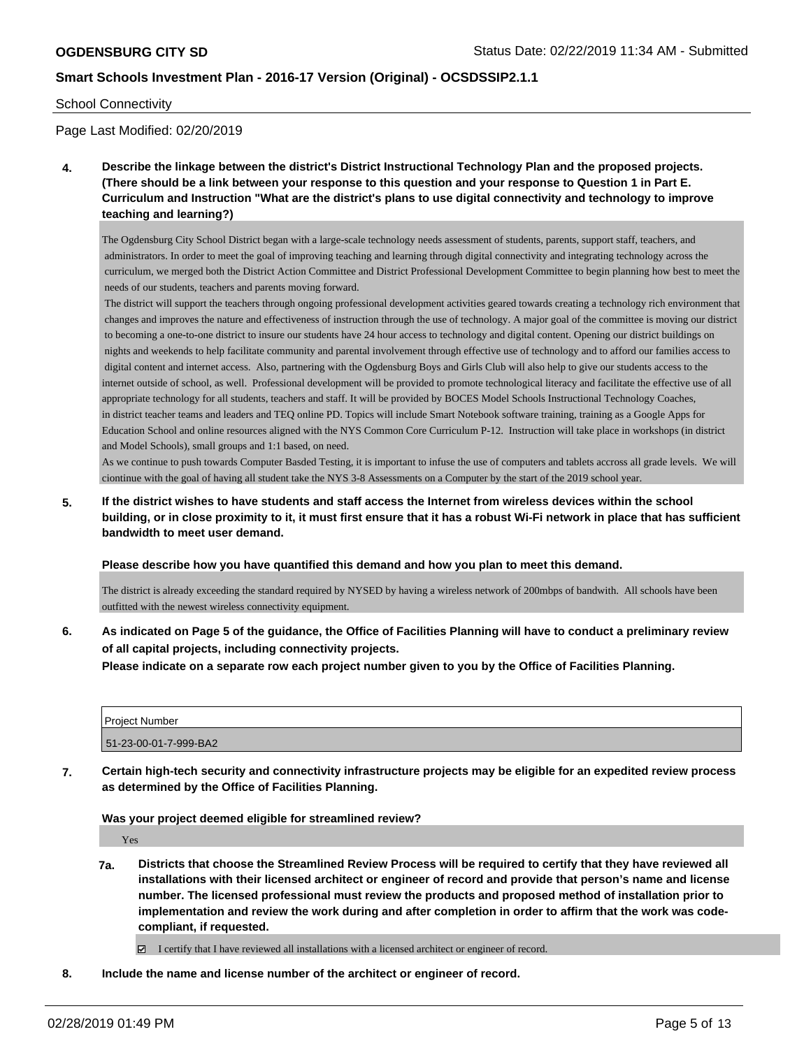#### School Connectivity

Page Last Modified: 02/20/2019

**4. Describe the linkage between the district's District Instructional Technology Plan and the proposed projects. (There should be a link between your response to this question and your response to Question 1 in Part E. Curriculum and Instruction "What are the district's plans to use digital connectivity and technology to improve teaching and learning?)**

The Ogdensburg City School District began with a large-scale technology needs assessment of students, parents, support staff, teachers, and administrators. In order to meet the goal of improving teaching and learning through digital connectivity and integrating technology across the curriculum, we merged both the District Action Committee and District Professional Development Committee to begin planning how best to meet the needs of our students, teachers and parents moving forward.

 The district will support the teachers through ongoing professional development activities geared towards creating a technology rich environment that changes and improves the nature and effectiveness of instruction through the use of technology. A major goal of the committee is moving our district to becoming a one-to-one district to insure our students have 24 hour access to technology and digital content. Opening our district buildings on nights and weekends to help facilitate community and parental involvement through effective use of technology and to afford our families access to digital content and internet access. Also, partnering with the Ogdensburg Boys and Girls Club will also help to give our students access to the internet outside of school, as well. Professional development will be provided to promote technological literacy and facilitate the effective use of all appropriate technology for all students, teachers and staff. It will be provided by BOCES Model Schools Instructional Technology Coaches, in district teacher teams and leaders and TEQ online PD. Topics will include Smart Notebook software training, training as a Google Apps for Education School and online resources aligned with the NYS Common Core Curriculum P-12. Instruction will take place in workshops (in district and Model Schools), small groups and 1:1 based, on need.

As we continue to push towards Computer Basded Testing, it is important to infuse the use of computers and tablets accross all grade levels. We will ciontinue with the goal of having all student take the NYS 3-8 Assessments on a Computer by the start of the 2019 school year.

**5. If the district wishes to have students and staff access the Internet from wireless devices within the school building, or in close proximity to it, it must first ensure that it has a robust Wi-Fi network in place that has sufficient bandwidth to meet user demand.**

#### **Please describe how you have quantified this demand and how you plan to meet this demand.**

The district is already exceeding the standard required by NYSED by having a wireless network of 200mbps of bandwith. All schools have been outfitted with the newest wireless connectivity equipment.

**6. As indicated on Page 5 of the guidance, the Office of Facilities Planning will have to conduct a preliminary review of all capital projects, including connectivity projects.**

**Please indicate on a separate row each project number given to you by the Office of Facilities Planning.**

| <b>Project Number</b> |  |
|-----------------------|--|
| 51-23-00-01-7-999-BA2 |  |

**7. Certain high-tech security and connectivity infrastructure projects may be eligible for an expedited review process as determined by the Office of Facilities Planning.**

**Was your project deemed eligible for streamlined review?**

Yes

- **7a. Districts that choose the Streamlined Review Process will be required to certify that they have reviewed all installations with their licensed architect or engineer of record and provide that person's name and license number. The licensed professional must review the products and proposed method of installation prior to implementation and review the work during and after completion in order to affirm that the work was codecompliant, if requested.**
	- I certify that I have reviewed all installations with a licensed architect or engineer of record.
- **8. Include the name and license number of the architect or engineer of record.**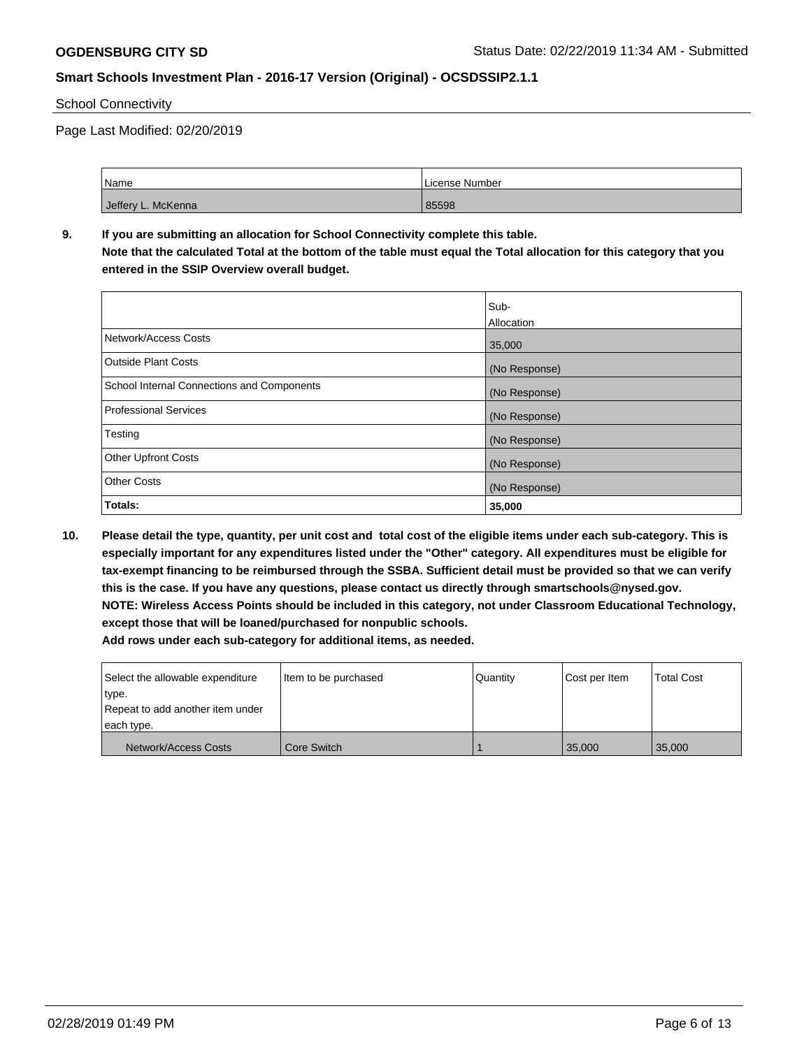#### School Connectivity

Page Last Modified: 02/20/2019

| Name               | License Number |
|--------------------|----------------|
| Jeffery L. McKenna | 85598          |

# **9. If you are submitting an allocation for School Connectivity complete this table.**

**Note that the calculated Total at the bottom of the table must equal the Total allocation for this category that you entered in the SSIP Overview overall budget.** 

|                                                   | Sub-<br>Allocation |
|---------------------------------------------------|--------------------|
| Network/Access Costs                              | 35,000             |
| <b>Outside Plant Costs</b>                        | (No Response)      |
| <b>School Internal Connections and Components</b> | (No Response)      |
| <b>Professional Services</b>                      | (No Response)      |
| Testing                                           | (No Response)      |
| <b>Other Upfront Costs</b>                        | (No Response)      |
| <b>Other Costs</b>                                | (No Response)      |
| Totals:                                           | 35,000             |

**10. Please detail the type, quantity, per unit cost and total cost of the eligible items under each sub-category. This is especially important for any expenditures listed under the "Other" category. All expenditures must be eligible for tax-exempt financing to be reimbursed through the SSBA. Sufficient detail must be provided so that we can verify this is the case. If you have any questions, please contact us directly through smartschools@nysed.gov. NOTE: Wireless Access Points should be included in this category, not under Classroom Educational Technology, except those that will be loaned/purchased for nonpublic schools.**

**Add rows under each sub-category for additional items, as needed.**

| Select the allowable expenditure<br>type.      | Item to be purchased | <b>Quantity</b> | Cost per Item | <b>Total Cost</b> |
|------------------------------------------------|----------------------|-----------------|---------------|-------------------|
| Repeat to add another item under<br>each type. |                      |                 |               |                   |
| Network/Access Costs                           | l Core Switch        |                 | 35,000        | 35,000            |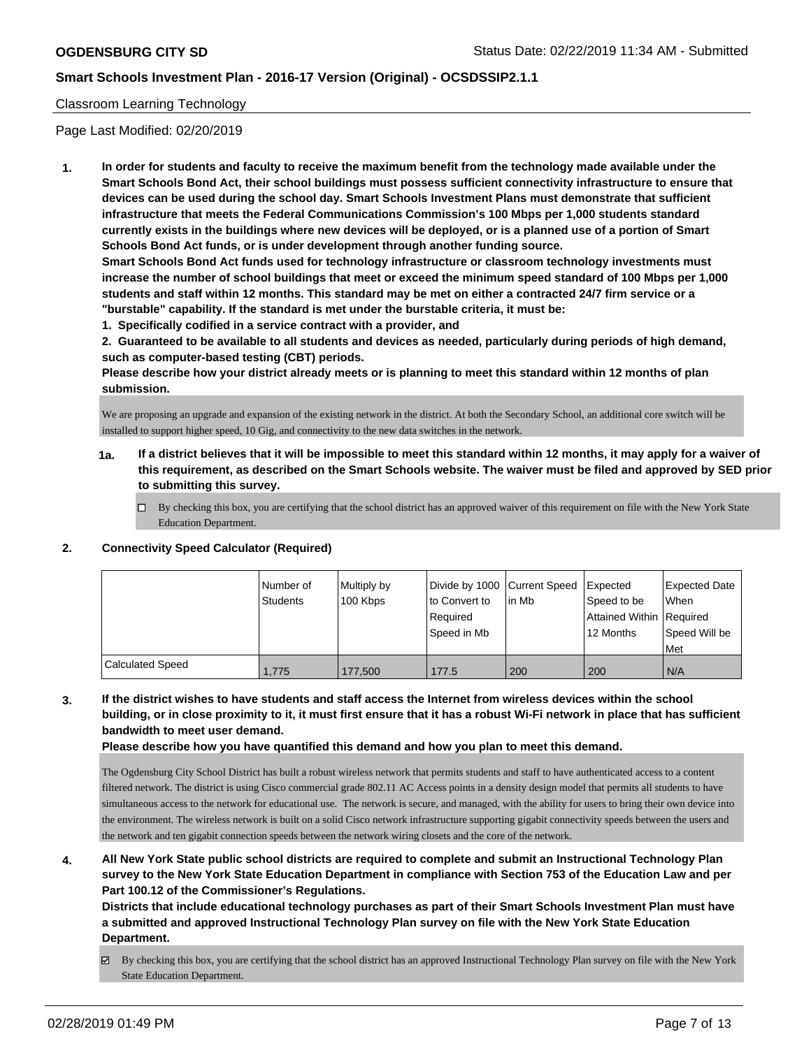#### Classroom Learning Technology

Page Last Modified: 02/20/2019

**1. In order for students and faculty to receive the maximum benefit from the technology made available under the Smart Schools Bond Act, their school buildings must possess sufficient connectivity infrastructure to ensure that devices can be used during the school day. Smart Schools Investment Plans must demonstrate that sufficient infrastructure that meets the Federal Communications Commission's 100 Mbps per 1,000 students standard currently exists in the buildings where new devices will be deployed, or is a planned use of a portion of Smart Schools Bond Act funds, or is under development through another funding source.**

**Smart Schools Bond Act funds used for technology infrastructure or classroom technology investments must increase the number of school buildings that meet or exceed the minimum speed standard of 100 Mbps per 1,000 students and staff within 12 months. This standard may be met on either a contracted 24/7 firm service or a "burstable" capability. If the standard is met under the burstable criteria, it must be:**

**1. Specifically codified in a service contract with a provider, and**

**2. Guaranteed to be available to all students and devices as needed, particularly during periods of high demand, such as computer-based testing (CBT) periods.**

**Please describe how your district already meets or is planning to meet this standard within 12 months of plan submission.**

We are proposing an upgrade and expansion of the existing network in the district. At both the Secondary School, an additional core switch will be installed to support higher speed, 10 Gig, and connectivity to the new data switches in the network.

- **1a. If a district believes that it will be impossible to meet this standard within 12 months, it may apply for a waiver of this requirement, as described on the Smart Schools website. The waiver must be filed and approved by SED prior to submitting this survey.**
	- By checking this box, you are certifying that the school district has an approved waiver of this requirement on file with the New York State Education Department.

#### **2. Connectivity Speed Calculator (Required)**

|                  | I Number of<br><b>Students</b> | Multiply by<br>100 Kbps | Divide by 1000 Current Speed<br>to Convert to<br>l Reauired<br>Speed in Mb | l in Mb | <b>Expected</b><br>Speed to be<br>Attained Within   Required<br>12 Months | <b>Expected Date</b><br>When<br>Speed Will be<br>l Met |
|------------------|--------------------------------|-------------------------|----------------------------------------------------------------------------|---------|---------------------------------------------------------------------------|--------------------------------------------------------|
| Calculated Speed | 1.775                          | 177,500                 | 177.5                                                                      | 200     | 200                                                                       | N/A                                                    |

# **3. If the district wishes to have students and staff access the Internet from wireless devices within the school building, or in close proximity to it, it must first ensure that it has a robust Wi-Fi network in place that has sufficient bandwidth to meet user demand.**

**Please describe how you have quantified this demand and how you plan to meet this demand.**

The Ogdensburg City School District has built a robust wireless network that permits students and staff to have authenticated access to a content filtered network. The district is using Cisco commercial grade 802.11 AC Access points in a density design model that permits all students to have simultaneous access to the network for educational use. The network is secure, and managed, with the ability for users to bring their own device into the environment. The wireless network is built on a solid Cisco network infrastructure supporting gigabit connectivity speeds between the users and the network and ten gigabit connection speeds between the network wiring closets and the core of the network.

# **4. All New York State public school districts are required to complete and submit an Instructional Technology Plan survey to the New York State Education Department in compliance with Section 753 of the Education Law and per Part 100.12 of the Commissioner's Regulations.**

**Districts that include educational technology purchases as part of their Smart Schools Investment Plan must have a submitted and approved Instructional Technology Plan survey on file with the New York State Education Department.**

By checking this box, you are certifying that the school district has an approved Instructional Technology Plan survey on file with the New York State Education Department.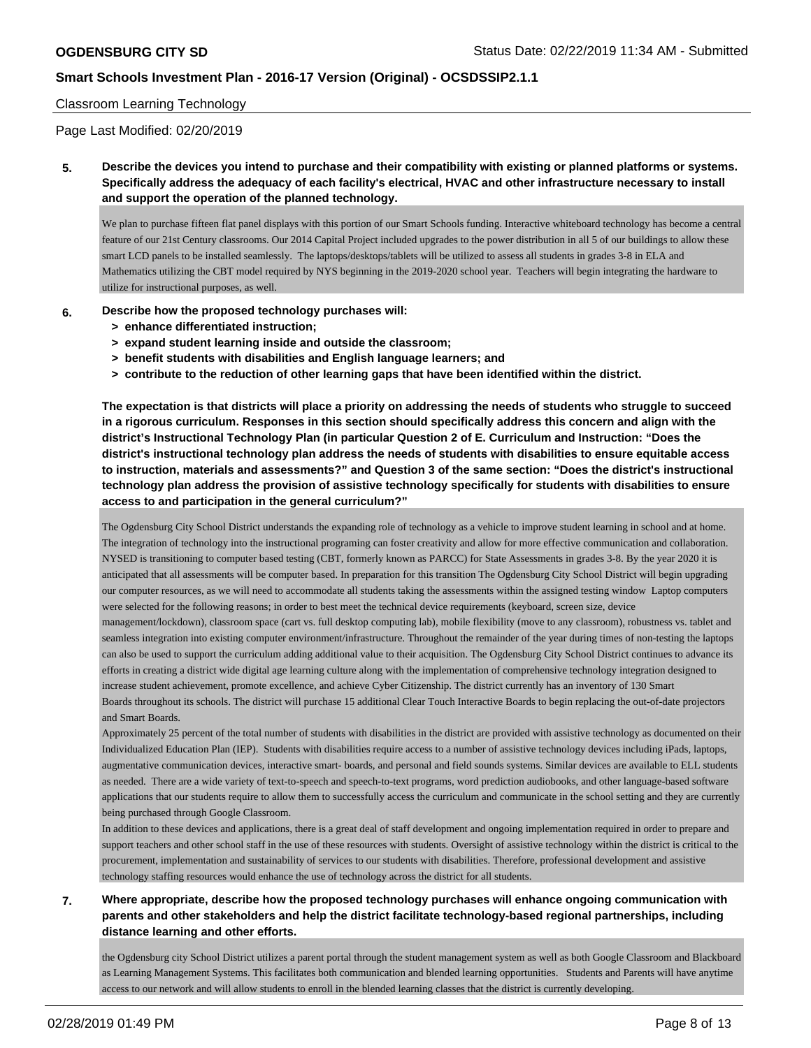#### Classroom Learning Technology

Page Last Modified: 02/20/2019

**5. Describe the devices you intend to purchase and their compatibility with existing or planned platforms or systems. Specifically address the adequacy of each facility's electrical, HVAC and other infrastructure necessary to install and support the operation of the planned technology.**

We plan to purchase fifteen flat panel displays with this portion of our Smart Schools funding. Interactive whiteboard technology has become a central feature of our 21st Century classrooms. Our 2014 Capital Project included upgrades to the power distribution in all 5 of our buildings to allow these smart LCD panels to be installed seamlessly. The laptops/desktops/tablets will be utilized to assess all students in grades 3-8 in ELA and Mathematics utilizing the CBT model required by NYS beginning in the 2019-2020 school year. Teachers will begin integrating the hardware to utilize for instructional purposes, as well.

- **6. Describe how the proposed technology purchases will:**
	- **> enhance differentiated instruction;**
	- **> expand student learning inside and outside the classroom;**
	- **> benefit students with disabilities and English language learners; and**
	- **> contribute to the reduction of other learning gaps that have been identified within the district.**

**The expectation is that districts will place a priority on addressing the needs of students who struggle to succeed in a rigorous curriculum. Responses in this section should specifically address this concern and align with the district's Instructional Technology Plan (in particular Question 2 of E. Curriculum and Instruction: "Does the district's instructional technology plan address the needs of students with disabilities to ensure equitable access to instruction, materials and assessments?" and Question 3 of the same section: "Does the district's instructional technology plan address the provision of assistive technology specifically for students with disabilities to ensure access to and participation in the general curriculum?"**

The Ogdensburg City School District understands the expanding role of technology as a vehicle to improve student learning in school and at home. The integration of technology into the instructional programing can foster creativity and allow for more effective communication and collaboration. NYSED is transitioning to computer based testing (CBT, formerly known as PARCC) for State Assessments in grades 3-8. By the year 2020 it is anticipated that all assessments will be computer based. In preparation for this transition The Ogdensburg City School District will begin upgrading our computer resources, as we will need to accommodate all students taking the assessments within the assigned testing window Laptop computers were selected for the following reasons; in order to best meet the technical device requirements (keyboard, screen size, device

management/lockdown), classroom space (cart vs. full desktop computing lab), mobile flexibility (move to any classroom), robustness vs. tablet and seamless integration into existing computer environment/infrastructure. Throughout the remainder of the year during times of non-testing the laptops can also be used to support the curriculum adding additional value to their acquisition. The Ogdensburg City School District continues to advance its efforts in creating a district wide digital age learning culture along with the implementation of comprehensive technology integration designed to increase student achievement, promote excellence, and achieve Cyber Citizenship. The district currently has an inventory of 130 Smart Boards throughout its schools. The district will purchase 15 additional Clear Touch Interactive Boards to begin replacing the out-of-date projectors and Smart Boards.

Approximately 25 percent of the total number of students with disabilities in the district are provided with assistive technology as documented on their Individualized Education Plan (IEP). Students with disabilities require access to a number of assistive technology devices including iPads, laptops, augmentative communication devices, interactive smart- boards, and personal and field sounds systems. Similar devices are available to ELL students as needed. There are a wide variety of text-to-speech and speech-to-text programs, word prediction audiobooks, and other language-based software applications that our students require to allow them to successfully access the curriculum and communicate in the school setting and they are currently being purchased through Google Classroom.

In addition to these devices and applications, there is a great deal of staff development and ongoing implementation required in order to prepare and support teachers and other school staff in the use of these resources with students. Oversight of assistive technology within the district is critical to the procurement, implementation and sustainability of services to our students with disabilities. Therefore, professional development and assistive technology staffing resources would enhance the use of technology across the district for all students.

# **7. Where appropriate, describe how the proposed technology purchases will enhance ongoing communication with parents and other stakeholders and help the district facilitate technology-based regional partnerships, including distance learning and other efforts.**

the Ogdensburg city School District utilizes a parent portal through the student management system as well as both Google Classroom and Blackboard as Learning Management Systems. This facilitates both communication and blended learning opportunities. Students and Parents will have anytime access to our network and will allow students to enroll in the blended learning classes that the district is currently developing.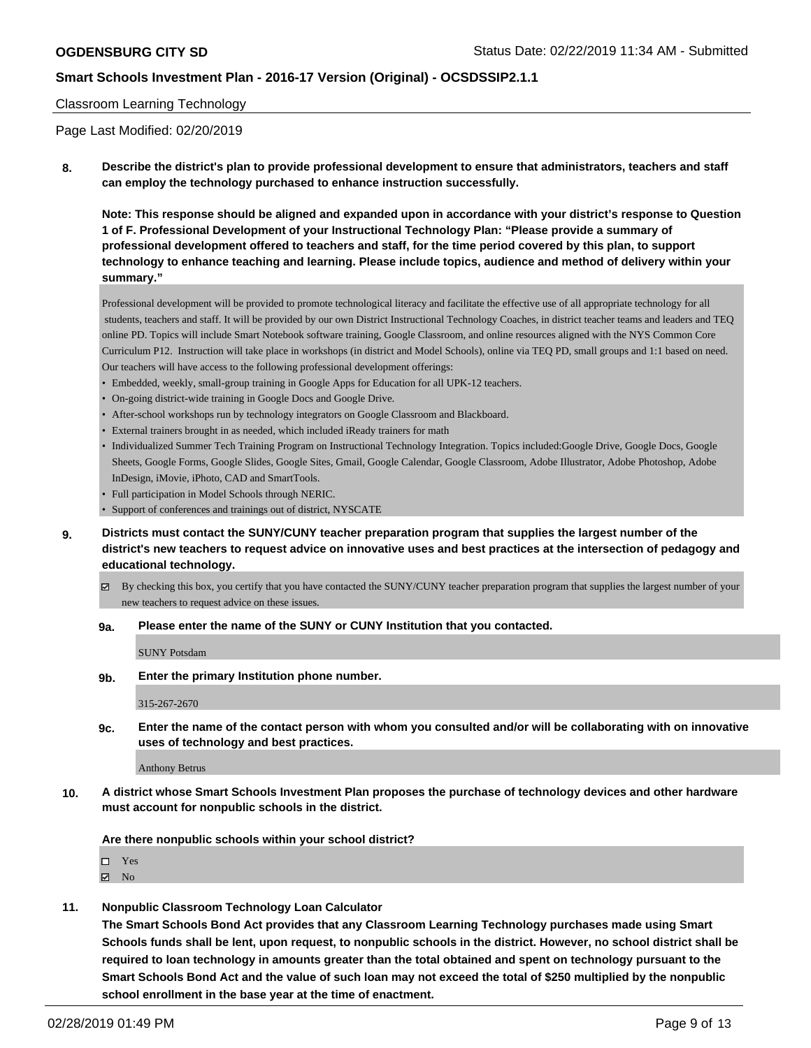### Classroom Learning Technology

Page Last Modified: 02/20/2019

**8. Describe the district's plan to provide professional development to ensure that administrators, teachers and staff can employ the technology purchased to enhance instruction successfully.**

**Note: This response should be aligned and expanded upon in accordance with your district's response to Question 1 of F. Professional Development of your Instructional Technology Plan: "Please provide a summary of professional development offered to teachers and staff, for the time period covered by this plan, to support technology to enhance teaching and learning. Please include topics, audience and method of delivery within your summary."**

Professional development will be provided to promote technological literacy and facilitate the effective use of all appropriate technology for all students, teachers and staff. It will be provided by our own District Instructional Technology Coaches, in district teacher teams and leaders and TEQ online PD. Topics will include Smart Notebook software training, Google Classroom, and online resources aligned with the NYS Common Core Curriculum P12. Instruction will take place in workshops (in district and Model Schools), online via TEQ PD, small groups and 1:1 based on need. Our teachers will have access to the following professional development offerings:

- Embedded, weekly, small-group training in Google Apps for Education for all UPK-12 teachers.
- On-going district-wide training in Google Docs and Google Drive.
- After-school workshops run by technology integrators on Google Classroom and Blackboard.
- External trainers brought in as needed, which included iReady trainers for math
- Individualized Summer Tech Training Program on Instructional Technology Integration. Topics included:Google Drive, Google Docs, Google Sheets, Google Forms, Google Slides, Google Sites, Gmail, Google Calendar, Google Classroom, Adobe Illustrator, Adobe Photoshop, Adobe InDesign, iMovie, iPhoto, CAD and SmartTools.
- Full participation in Model Schools through NERIC.
- Support of conferences and trainings out of district, NYSCATE
- **9. Districts must contact the SUNY/CUNY teacher preparation program that supplies the largest number of the district's new teachers to request advice on innovative uses and best practices at the intersection of pedagogy and educational technology.**
	- $\boxtimes$  By checking this box, you certify that you have contacted the SUNY/CUNY teacher preparation program that supplies the largest number of your new teachers to request advice on these issues.
	- **9a. Please enter the name of the SUNY or CUNY Institution that you contacted.**

SUNY Potsdam

**9b. Enter the primary Institution phone number.**

315-267-2670

**9c. Enter the name of the contact person with whom you consulted and/or will be collaborating with on innovative uses of technology and best practices.**

Anthony Betrus

**10. A district whose Smart Schools Investment Plan proposes the purchase of technology devices and other hardware must account for nonpublic schools in the district.**

**Are there nonpublic schools within your school district?**

□ Yes

 $\boxtimes$  No

**11. Nonpublic Classroom Technology Loan Calculator**

**The Smart Schools Bond Act provides that any Classroom Learning Technology purchases made using Smart Schools funds shall be lent, upon request, to nonpublic schools in the district. However, no school district shall be required to loan technology in amounts greater than the total obtained and spent on technology pursuant to the Smart Schools Bond Act and the value of such loan may not exceed the total of \$250 multiplied by the nonpublic school enrollment in the base year at the time of enactment.**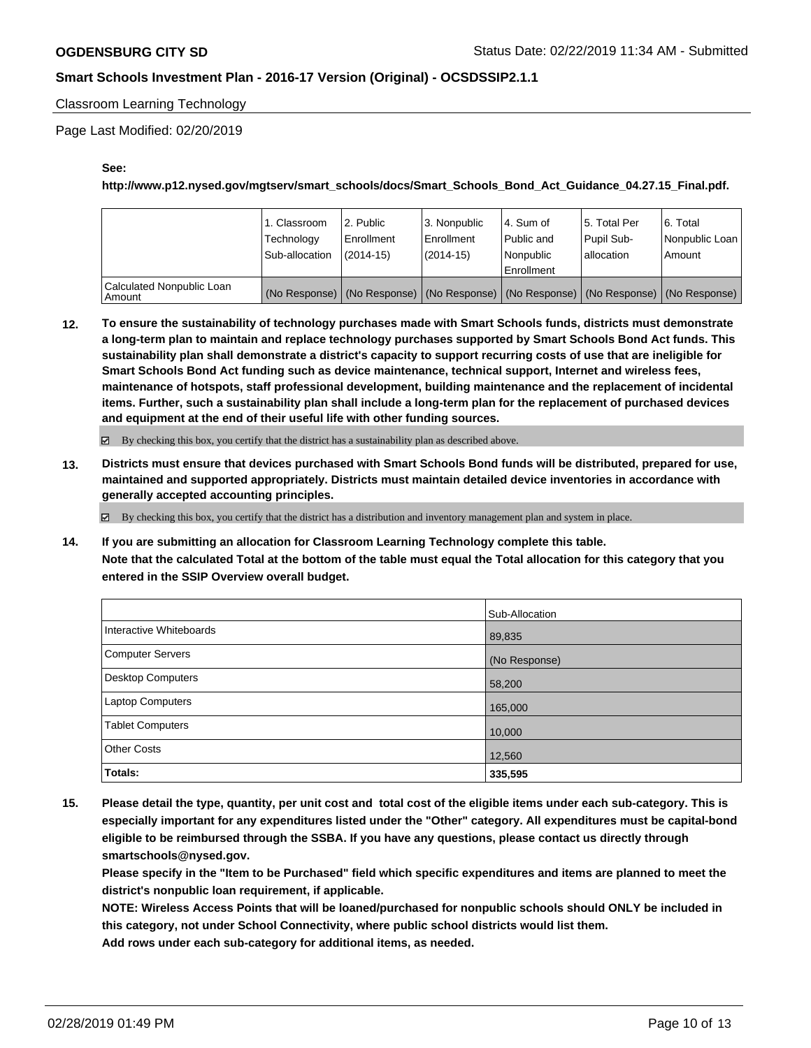Classroom Learning Technology

Page Last Modified: 02/20/2019

#### **See:**

**http://www.p12.nysed.gov/mgtserv/smart\_schools/docs/Smart\_Schools\_Bond\_Act\_Guidance\_04.27.15\_Final.pdf.**

|                                       | 1. Classroom<br>Technology<br>Sub-allocation | l 2. Public<br>l Enrollment<br>$(2014 - 15)$ | l 3. Nonpublic<br>Enrollment<br>$(2014-15)$ | l 4. Sum of<br>l Public and<br>l Nonpublic<br>Enrollment | 15. Total Per<br>Pupil Sub-<br>l allocation | 6. Total<br>Nonpublic Loan<br>Amount                                                          |
|---------------------------------------|----------------------------------------------|----------------------------------------------|---------------------------------------------|----------------------------------------------------------|---------------------------------------------|-----------------------------------------------------------------------------------------------|
| Calculated Nonpublic Loan<br>l Amount |                                              |                                              |                                             |                                                          |                                             | (No Response)   (No Response)   (No Response)   (No Response)   (No Response)   (No Response) |

**12. To ensure the sustainability of technology purchases made with Smart Schools funds, districts must demonstrate a long-term plan to maintain and replace technology purchases supported by Smart Schools Bond Act funds. This sustainability plan shall demonstrate a district's capacity to support recurring costs of use that are ineligible for Smart Schools Bond Act funding such as device maintenance, technical support, Internet and wireless fees, maintenance of hotspots, staff professional development, building maintenance and the replacement of incidental items. Further, such a sustainability plan shall include a long-term plan for the replacement of purchased devices and equipment at the end of their useful life with other funding sources.**

 $\boxtimes$  By checking this box, you certify that the district has a sustainability plan as described above.

**13. Districts must ensure that devices purchased with Smart Schools Bond funds will be distributed, prepared for use, maintained and supported appropriately. Districts must maintain detailed device inventories in accordance with generally accepted accounting principles.**

By checking this box, you certify that the district has a distribution and inventory management plan and system in place.

**14. If you are submitting an allocation for Classroom Learning Technology complete this table. Note that the calculated Total at the bottom of the table must equal the Total allocation for this category that you entered in the SSIP Overview overall budget.**

|                          | Sub-Allocation |
|--------------------------|----------------|
| Interactive Whiteboards  | 89,835         |
| <b>Computer Servers</b>  | (No Response)  |
| <b>Desktop Computers</b> | 58,200         |
| <b>Laptop Computers</b>  | 165,000        |
| <b>Tablet Computers</b>  | 10,000         |
| <b>Other Costs</b>       | 12,560         |
| Totals:                  | 335,595        |

**15. Please detail the type, quantity, per unit cost and total cost of the eligible items under each sub-category. This is especially important for any expenditures listed under the "Other" category. All expenditures must be capital-bond eligible to be reimbursed through the SSBA. If you have any questions, please contact us directly through smartschools@nysed.gov.**

**Please specify in the "Item to be Purchased" field which specific expenditures and items are planned to meet the district's nonpublic loan requirement, if applicable.**

**NOTE: Wireless Access Points that will be loaned/purchased for nonpublic schools should ONLY be included in this category, not under School Connectivity, where public school districts would list them. Add rows under each sub-category for additional items, as needed.**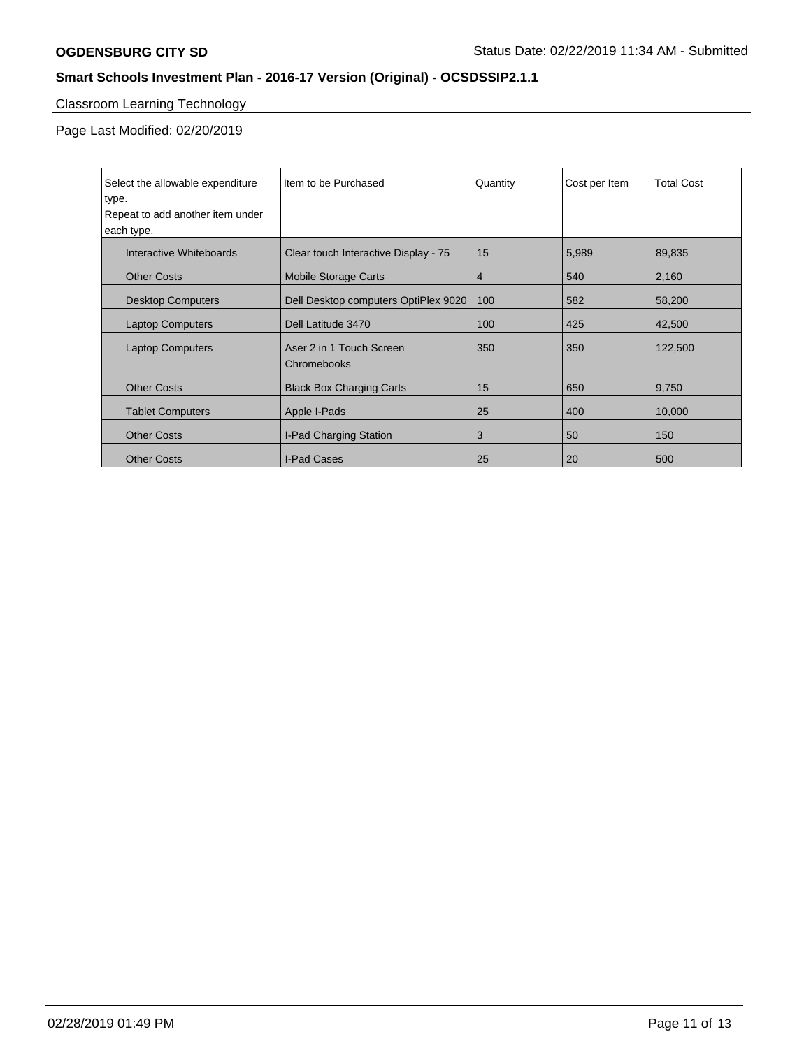# Classroom Learning Technology

Page Last Modified: 02/20/2019

| Select the allowable expenditure<br>type.<br>Repeat to add another item under<br>each type. | Item to be Purchased                    | Quantity | Cost per Item | <b>Total Cost</b> |
|---------------------------------------------------------------------------------------------|-----------------------------------------|----------|---------------|-------------------|
| Interactive Whiteboards                                                                     | Clear touch Interactive Display - 75    | 15       | 5,989         | 89,835            |
| <b>Other Costs</b>                                                                          | <b>Mobile Storage Carts</b>             | 4        | 540           | 2,160             |
| <b>Desktop Computers</b>                                                                    | Dell Desktop computers OptiPlex 9020    | 100      | 582           | 58,200            |
| <b>Laptop Computers</b>                                                                     | Dell Latitude 3470                      | 100      | 425           | 42,500            |
| <b>Laptop Computers</b>                                                                     | Aser 2 in 1 Touch Screen<br>Chromebooks | 350      | 350           | 122,500           |
| <b>Other Costs</b>                                                                          | <b>Black Box Charging Carts</b>         | 15       | 650           | 9,750             |
| <b>Tablet Computers</b>                                                                     | Apple I-Pads                            | 25       | 400           | 10,000            |
| <b>Other Costs</b>                                                                          | I-Pad Charging Station                  | 3        | 50            | 150               |
| <b>Other Costs</b>                                                                          | I-Pad Cases                             | 25       | 20            | 500               |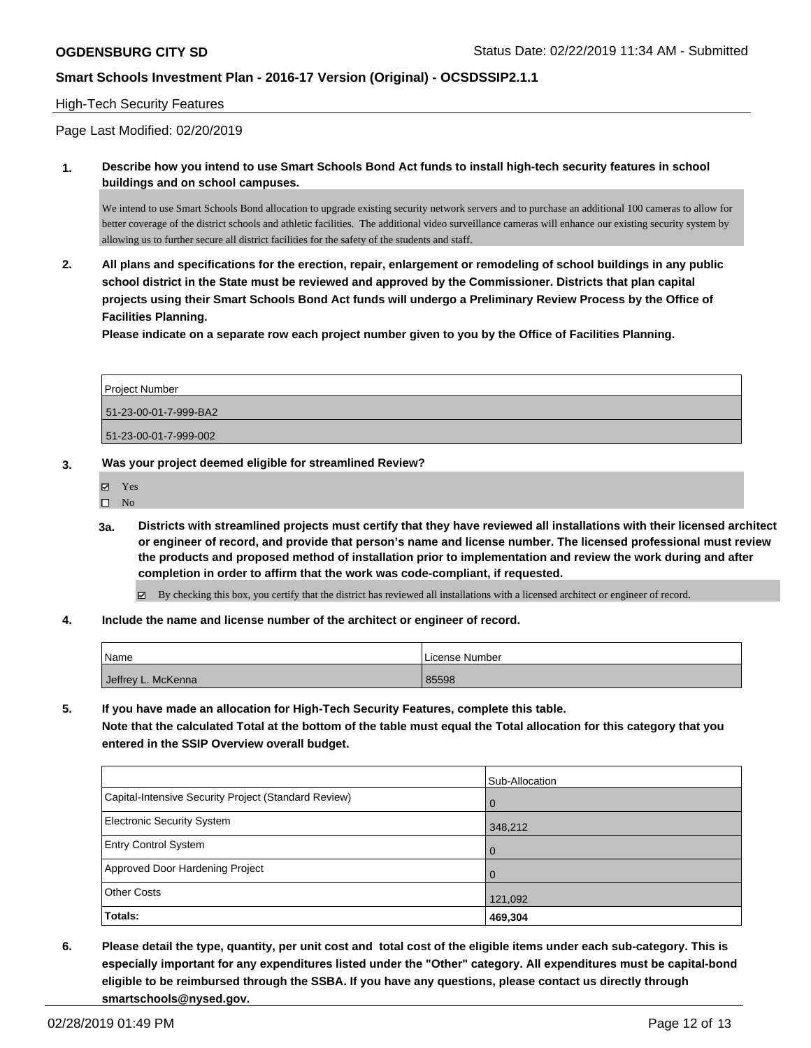### High-Tech Security Features

Page Last Modified: 02/20/2019

**1. Describe how you intend to use Smart Schools Bond Act funds to install high-tech security features in school buildings and on school campuses.**

We intend to use Smart Schools Bond allocation to upgrade existing security network servers and to purchase an additional 100 cameras to allow for better coverage of the district schools and athletic facilities. The additional video surveillance cameras will enhance our existing security system by allowing us to further secure all district facilities for the safety of the students and staff.

**2. All plans and specifications for the erection, repair, enlargement or remodeling of school buildings in any public school district in the State must be reviewed and approved by the Commissioner. Districts that plan capital projects using their Smart Schools Bond Act funds will undergo a Preliminary Review Process by the Office of Facilities Planning.** 

**Please indicate on a separate row each project number given to you by the Office of Facilities Planning.**

| Project Number        |  |
|-----------------------|--|
| 51-23-00-01-7-999-BA2 |  |
| 51-23-00-01-7-999-002 |  |

#### **3. Was your project deemed eligible for streamlined Review?**

Yes

 $\square$  No

- **3a. Districts with streamlined projects must certify that they have reviewed all installations with their licensed architect or engineer of record, and provide that person's name and license number. The licensed professional must review the products and proposed method of installation prior to implementation and review the work during and after completion in order to affirm that the work was code-compliant, if requested.**
	- By checking this box, you certify that the district has reviewed all installations with a licensed architect or engineer of record.
- **4. Include the name and license number of the architect or engineer of record.**

| Name               | License Number |
|--------------------|----------------|
| Jeffrey L. McKenna | 85598          |

**5. If you have made an allocation for High-Tech Security Features, complete this table. Note that the calculated Total at the bottom of the table must equal the Total allocation for this category that you entered in the SSIP Overview overall budget.**

|                                                      | Sub-Allocation |
|------------------------------------------------------|----------------|
| Capital-Intensive Security Project (Standard Review) | $\mathbf 0$    |
| <b>Electronic Security System</b>                    | 348,212        |
| <b>Entry Control System</b>                          | $\Omega$       |
| Approved Door Hardening Project                      | $\Omega$       |
| <b>Other Costs</b>                                   | 121,092        |
| Totals:                                              | 469,304        |

**6. Please detail the type, quantity, per unit cost and total cost of the eligible items under each sub-category. This is especially important for any expenditures listed under the "Other" category. All expenditures must be capital-bond eligible to be reimbursed through the SSBA. If you have any questions, please contact us directly through smartschools@nysed.gov.**